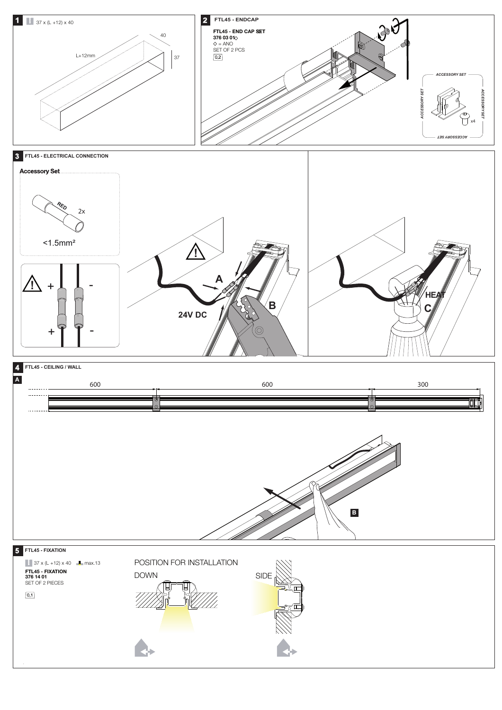